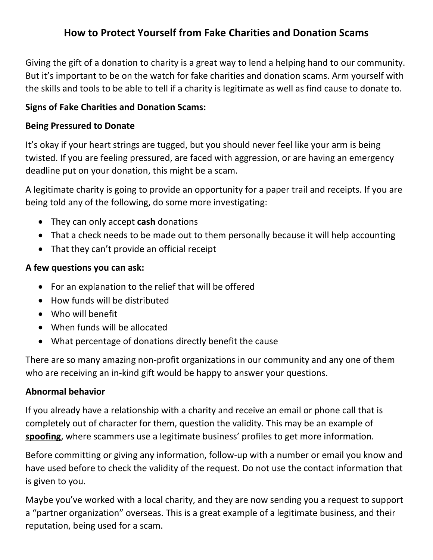# **How to Protect Yourself from Fake Charities and Donation Scams**

Giving the gift of a donation to charity is a great way to lend a helping hand to our community. But it's important to be on the watch for fake charities and donation scams. Arm yourself with the skills and tools to be able to tell if a charity is legitimate as well as find cause to donate to.

### **Signs of Fake Charities and Donation Scams:**

#### **Being Pressured to Donate**

It's okay if your heart strings are tugged, but you should never feel like your arm is being twisted. If you are feeling pressured, are faced with aggression, or are having an emergency deadline put on your donation, this might be a scam.

A legitimate charity is going to provide an opportunity for a paper trail and receipts. If you are being told any of the following, do some more investigating:

- They can only accept **cash** donations
- That a check needs to be made out to them personally because it will help accounting
- That they can't provide an official receipt

### **A few questions you can ask:**

- For an explanation to the relief that will be offered
- How funds will be distributed
- Who will benefit
- When funds will be allocated
- What percentage of donations directly benefit the cause

There are so many amazing non-profit organizations in our community and any one of them who are receiving an in-kind gift would be happy to answer your questions.

## **Abnormal behavior**

If you already have a relationship with a charity and receive an email or phone call that is completely out of character for them, question the validity. This may be an example of **spoofing**, where scammers use a legitimate business' profiles to get more information.

Before committing or giving any information, follow-up with a number or email you know and have used before to check the validity of the request. Do not use the contact information that is given to you.

Maybe you've worked with a local charity, and they are now sending you a request to support a "partner organization" overseas. This is a great example of a legitimate business, and their reputation, being used for a scam.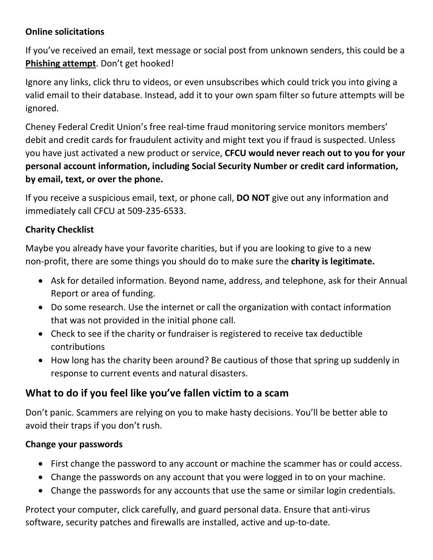## **Online solicitations**

If you've received an email, text message or social post from unknown senders, this could be a **Phishing attempt**. Don't get hooked!

Ignore any links, click thru to videos, or even unsubscribes which could trick you into giving a valid email to their database. Instead, add it to your own spam filter so future attempts will be ignored.

Cheney Federal Credit Union's free real-time fraud monitoring service monitors members' debit and credit cards for fraudulent activity and might text you if fraud is suspected. Unless you have just activated a new product or service, **CFCU would never reach out to you for your personal account information, including Social Security Number or credit card information, by email, text, or over the phone.**

If you receive a suspicious email, text, or phone call, **DO NOT** give out any information and immediately call CFCU at 509-235-6533.

# **Charity Checklist**

Maybe you already have your favorite charities, but if you are looking to give to a new non-profit, there are some things you should do to make sure the **charity is legitimate.**

- Ask for detailed information. Beyond name, address, and telephone, ask for their Annual Report or area of funding.
- Do some research. Use the internet or call the organization with contact information that was not provided in the initial phone call.
- Check to see if the charity or fundraiser is registered to receive tax deductible contributions
- How long has the charity been around? Be cautious of those that spring up suddenly in response to current events and natural disasters.

# **What to do if you feel like you've fallen victim to a scam**

Don't panic. Scammers are relying on you to make hasty decisions. You'll be better able to avoid their traps if you don't rush.

## **Change your passwords**

- First change the password to any account or machine the scammer has or could access.
- Change the passwords on any account that you were logged in to on your machine.
- Change the passwords for any accounts that use the same or similar login credentials.

Protect your computer, click carefully, and guard personal data. Ensure that anti-virus software, security patches and firewalls are installed, active and up-to-date.